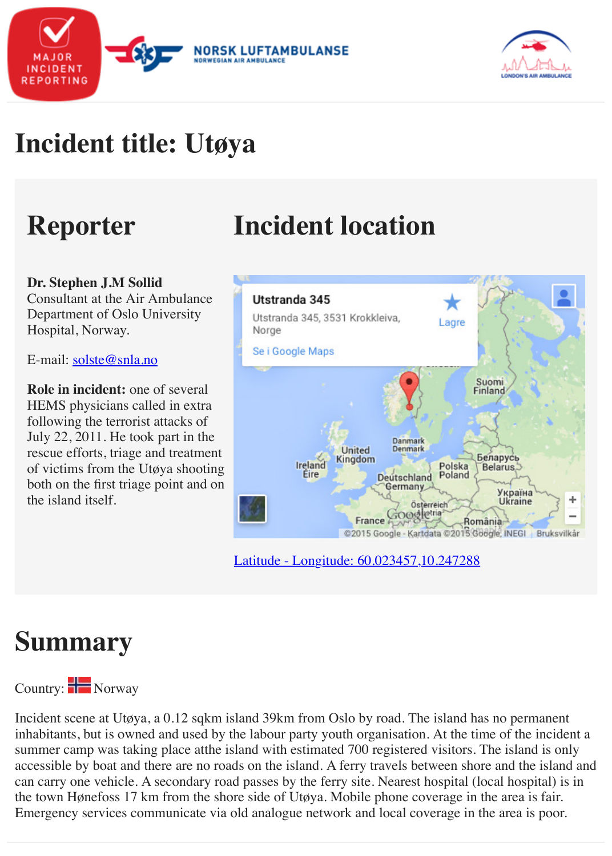# **Reporter Incident location**

#### **Dr. Stephen J.M Sollid**

Consultant at the Air Ambulance Department of Oslo University Hospital, Norway.

E-mail: solste@snla.no

**Role in incident:** one of several HEMS physicians called in extra following the terrorist attacks of July 22, 2011. He took part in the rescue efforts, triage and treatment of victims from the Utøya shooting both on the first triage point and on the island itself.



[Latitude - Longitude: 60.023457,10.247288](http://maps.google.com/maps?ll=60.024173,10.247334&z=12&t=m&hl=no-NO&gl=US&mapclient=embed&q=Utstranda%20345%203531%20Krokkleiva%20Norge)

### **Summary**

### Country: Norway

Incident scene at Utøya, a 0.12 sqkm i[sland 39km from Oslo by road. The island ha](http://maps.google.com/maps?ll=60.024173,10.247334&z=12&t=m&hl=no-NO&gl=US&mapclient=embed&q=Utstranda%20345%203531%20Krokkleiva%20Norge)s no perm inhabitants, but is owned and used by the labour party youth organisation. At the time of the summer camp was taking place atthe island with estimated 700 registered visitors. The island accessible by boat and there are no roads on the island. A ferry travels between shore and the can carry one vehicle. A secondary road passes by the ferry site. Nearest hospital (local hospi the town Hønefoss 17 km from the shore side of Utøya. Mobile phone coverage in the area is Emergency services communicate via old analogue network and local coverage in the area is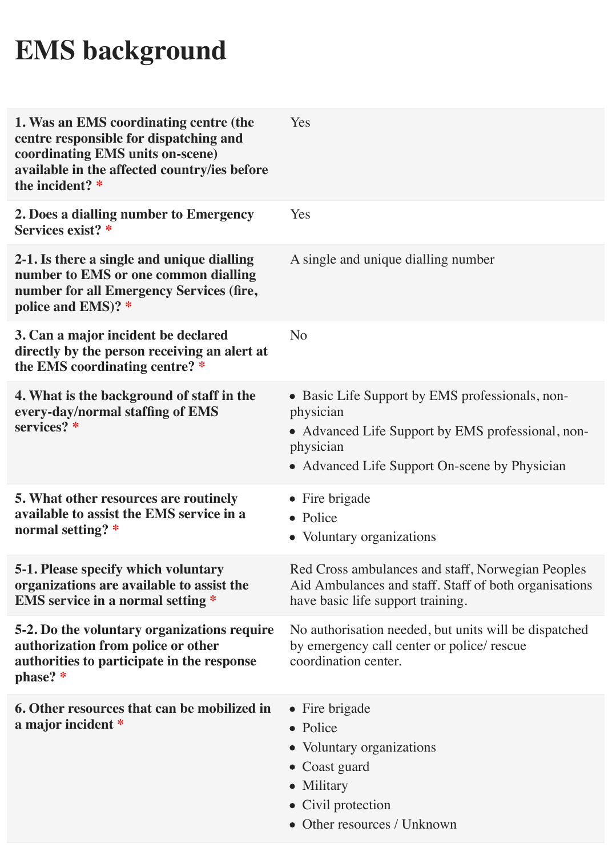# **EMS background**

| 1. Was an EMS coordinating centre (the<br>centre responsible for dispatching and<br>coordinating EMS units on-scene)<br>available in the affected country/ies before<br>the incident? * | Yes                                                                                                                                                                             |
|-----------------------------------------------------------------------------------------------------------------------------------------------------------------------------------------|---------------------------------------------------------------------------------------------------------------------------------------------------------------------------------|
| 2. Does a dialling number to Emergency<br>Services exist? *                                                                                                                             | Yes                                                                                                                                                                             |
| 2-1. Is there a single and unique dialling<br>number to EMS or one common dialling<br>number for all Emergency Services (fire,<br>police and EMS)? *                                    | A single and unique dialling number                                                                                                                                             |
| 3. Can a major incident be declared<br>directly by the person receiving an alert at<br>the EMS coordinating centre? *                                                                   | N <sub>o</sub>                                                                                                                                                                  |
| 4. What is the background of staff in the<br>every-day/normal staffing of EMS<br>services? *                                                                                            | • Basic Life Support by EMS professionals, non-<br>physician<br>• Advanced Life Support by EMS professional, non-<br>physician<br>• Advanced Life Support On-scene by Physician |
| <b>5. What other resources are routinely</b><br>available to assist the EMS service in a<br>normal setting? *                                                                           | • Fire brigade<br>• Police<br>• Voluntary organizations                                                                                                                         |
| <b>5-1. Please specify which voluntary</b><br>organizations are available to assist the<br><b>EMS</b> service in a normal setting *                                                     | Red Cross ambulances and staff, Norwegian Peoples<br>Aid Ambulances and staff. Staff of both organisations<br>have basic life support training.                                 |
| 5-2. Do the voluntary organizations require<br>authorization from police or other<br>authorities to participate in the response<br>phase? *                                             | No authorisation needed, but units will be dispatched<br>by emergency call center or police/ rescue<br>coordination center.                                                     |
| 6. Other resources that can be mobilized in<br>a major incident *                                                                                                                       | $\bullet$ Fire brigade<br>• Police<br>• Voluntary organizations<br>$\bullet$ Coast guard<br>• Military<br>• Civil protection<br>Other resources / Unknown                       |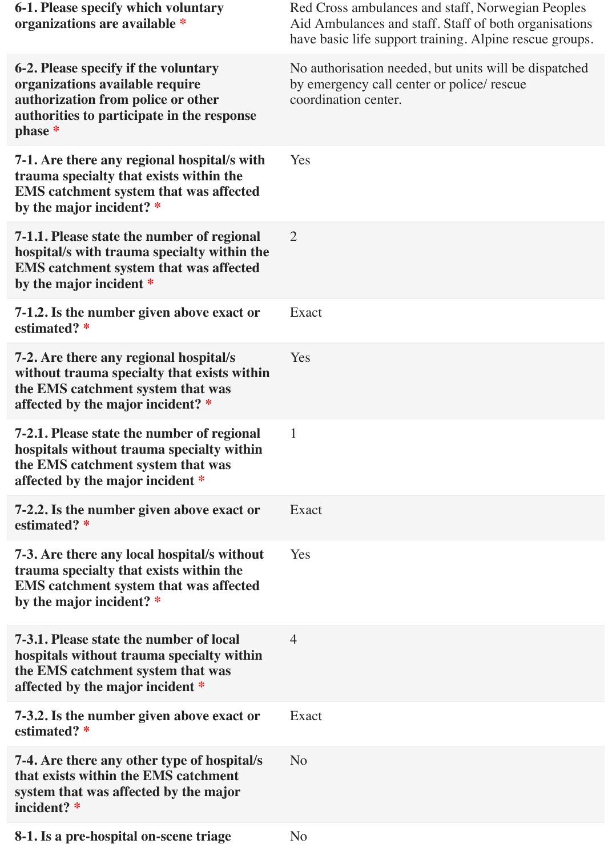| <b>6-1. Please specify which voluntary</b><br>organizations are available *                                                                                            | Red Cross ambulances and staff, Norwegian Peoples<br>Aid Ambulances and staff. Staff of both organisations<br>have basic life support training. Alpine rescue groups. |
|------------------------------------------------------------------------------------------------------------------------------------------------------------------------|-----------------------------------------------------------------------------------------------------------------------------------------------------------------------|
| 6-2. Please specify if the voluntary<br>organizations available require<br>authorization from police or other<br>authorities to participate in the response<br>phase * | No authorisation needed, but units will be dispatched<br>by emergency call center or police/ rescue<br>coordination center.                                           |
| 7-1. Are there any regional hospital/s with<br>trauma specialty that exists within the<br><b>EMS</b> catchment system that was affected<br>by the major incident? *    | Yes                                                                                                                                                                   |
| 7-1.1. Please state the number of regional<br>hospital/s with trauma specialty within the<br><b>EMS</b> catchment system that was affected<br>by the major incident *  | $\overline{2}$                                                                                                                                                        |
| 7-1.2. Is the number given above exact or<br>estimated? *                                                                                                              | Exact                                                                                                                                                                 |
| 7-2. Are there any regional hospital/s<br>without trauma specialty that exists within<br>the EMS catchment system that was<br>affected by the major incident? *        | Yes                                                                                                                                                                   |
| 7-2.1. Please state the number of regional<br>hospitals without trauma specialty within<br>the EMS catchment system that was<br>affected by the major incident *       | $\mathbf{1}$                                                                                                                                                          |
| 7-2.2. Is the number given above exact or<br>estimated? *                                                                                                              | Exact                                                                                                                                                                 |
| 7-3. Are there any local hospital/s without<br>trauma specialty that exists within the<br><b>EMS</b> catchment system that was affected<br>by the major incident? *    | Yes                                                                                                                                                                   |
| 7-3.1. Please state the number of local<br>hospitals without trauma specialty within<br>the EMS catchment system that was<br>affected by the major incident *          | $\overline{4}$                                                                                                                                                        |
| 7-3.2. Is the number given above exact or<br>estimated? *                                                                                                              | Exact                                                                                                                                                                 |
| 7-4. Are there any other type of hospital/s<br>that exists within the EMS catchment<br>system that was affected by the major<br>incident? *                            | N <sub>o</sub>                                                                                                                                                        |
| 8-1. Is a pre-hospital on-scene triage                                                                                                                                 | N <sub>o</sub>                                                                                                                                                        |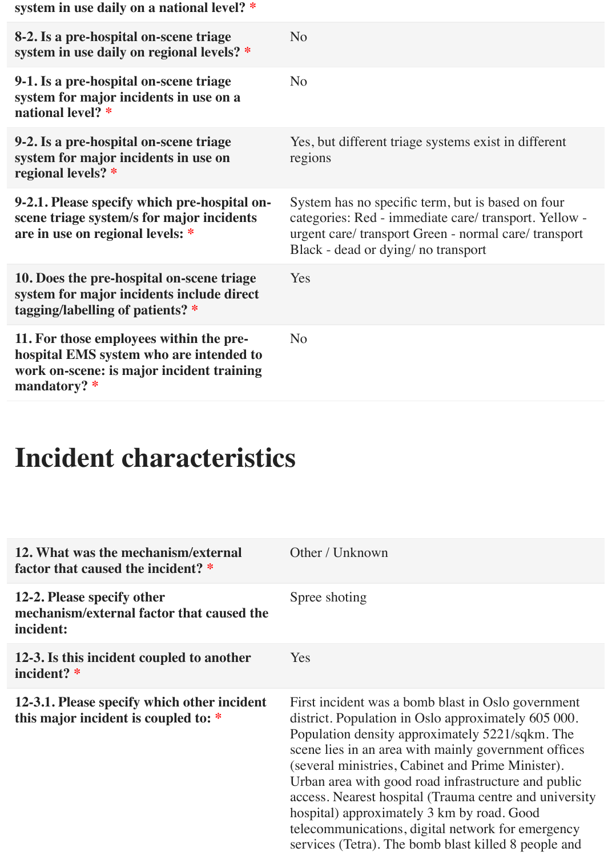| system in use daily on a national level? *                                                                                                        |                                                                                                                                                                                                          |
|---------------------------------------------------------------------------------------------------------------------------------------------------|----------------------------------------------------------------------------------------------------------------------------------------------------------------------------------------------------------|
| 8-2. Is a pre-hospital on-scene triage<br>system in use daily on regional levels? *                                                               | N <sub>o</sub>                                                                                                                                                                                           |
| 9-1. Is a pre-hospital on-scene triage<br>system for major incidents in use on a<br>national level? *                                             | N <sub>o</sub>                                                                                                                                                                                           |
| 9-2. Is a pre-hospital on-scene triage<br>system for major incidents in use on<br>regional levels? *                                              | Yes, but different triage systems exist in different<br>regions                                                                                                                                          |
| 9-2.1. Please specify which pre-hospital on-<br>scene triage system/s for major incidents<br>are in use on regional levels: *                     | System has no specific term, but is based on four<br>categories: Red - immediate care/ transport. Yellow -<br>urgent care/transport Green - normal care/transport<br>Black - dead or dying/ no transport |
| 10. Does the pre-hospital on-scene triage<br>system for major incidents include direct<br>tagging/labelling of patients? *                        | Yes                                                                                                                                                                                                      |
| 11. For those employees within the pre-<br>hospital EMS system who are intended to<br>work on-scene: is major incident training<br>mandatory? $*$ | N <sub>o</sub>                                                                                                                                                                                           |

## **Incident characteristics**

| 12. What was the mechanism/external<br>factor that caused the incident? *            | Other / Unknown                                                                                                                                                                                                                                                                                                                                                                                                                                                                                                                                       |
|--------------------------------------------------------------------------------------|-------------------------------------------------------------------------------------------------------------------------------------------------------------------------------------------------------------------------------------------------------------------------------------------------------------------------------------------------------------------------------------------------------------------------------------------------------------------------------------------------------------------------------------------------------|
| 12-2. Please specify other<br>mechanism/external factor that caused the<br>incident: | Spree shoting                                                                                                                                                                                                                                                                                                                                                                                                                                                                                                                                         |
| 12-3. Is this incident coupled to another<br>incident? *                             | <b>Yes</b>                                                                                                                                                                                                                                                                                                                                                                                                                                                                                                                                            |
| 12-3.1. Please specify which other incident<br>this major incident is coupled to: *  | First incident was a bomb blast in Oslo government<br>district. Population in Oslo approximately 605 000.<br>Population density approximately 5221/sqkm. The<br>scene lies in an area with mainly government offices<br>(several ministries, Cabinet and Prime Minister).<br>Urban area with good road infrastructure and public<br>access. Nearest hospital (Trauma centre and university<br>hospital) approximately 3 km by road. Good<br>telecommunications, digital network for emergency<br>services (Tetra). The bomb blast killed 8 people and |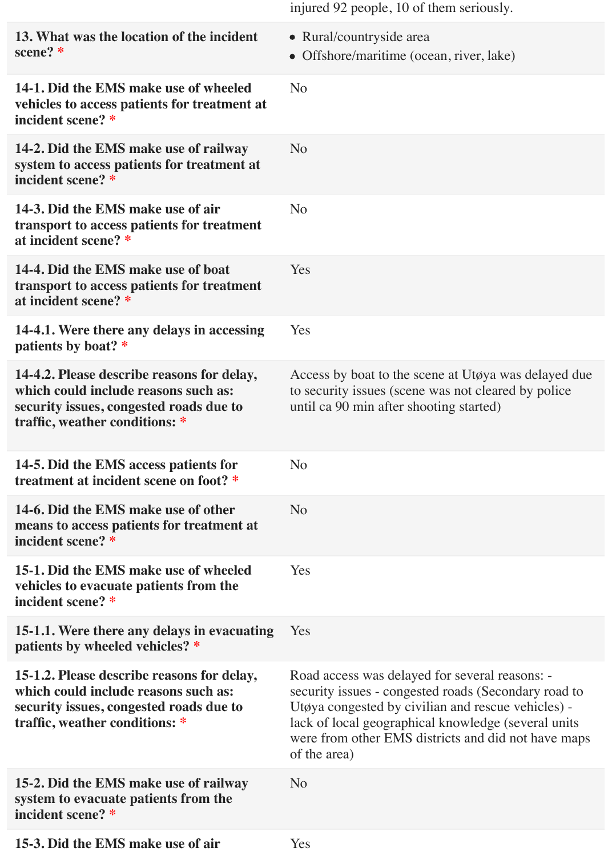|                                                                                                                                                                 | injured 92 people, 10 of them seriously.                                                                                                                                                                                                                                                   |
|-----------------------------------------------------------------------------------------------------------------------------------------------------------------|--------------------------------------------------------------------------------------------------------------------------------------------------------------------------------------------------------------------------------------------------------------------------------------------|
| 13. What was the location of the incident<br>scene? *                                                                                                           | • Rural/countryside area<br>• Offshore/maritime (ocean, river, lake)                                                                                                                                                                                                                       |
| 14-1. Did the EMS make use of wheeled<br>vehicles to access patients for treatment at<br>incident scene? *                                                      | N <sub>o</sub>                                                                                                                                                                                                                                                                             |
| 14-2. Did the EMS make use of railway<br>system to access patients for treatment at<br>incident scene? *                                                        | N <sub>o</sub>                                                                                                                                                                                                                                                                             |
| 14-3. Did the EMS make use of air<br>transport to access patients for treatment<br>at incident scene? *                                                         | N <sub>o</sub>                                                                                                                                                                                                                                                                             |
| 14-4. Did the EMS make use of boat<br>transport to access patients for treatment<br>at incident scene? *                                                        | <b>Yes</b>                                                                                                                                                                                                                                                                                 |
| 14-4.1. Were there any delays in accessing<br>patients by boat? *                                                                                               | Yes                                                                                                                                                                                                                                                                                        |
| 14-4.2. Please describe reasons for delay,<br>which could include reasons such as:<br>security issues, congested roads due to<br>traffic, weather conditions: * | Access by boat to the scene at Utøya was delayed due<br>to security issues (scene was not cleared by police<br>until ca 90 min after shooting started)                                                                                                                                     |
| 14-5. Did the EMS access patients for<br>treatment at incident scene on foot? *                                                                                 | N <sub>o</sub>                                                                                                                                                                                                                                                                             |
| 14-6. Did the EMS make use of other<br>means to access patients for treatment at<br>incident scene? *                                                           | N <sub>o</sub>                                                                                                                                                                                                                                                                             |
| 15-1. Did the EMS make use of wheeled<br>vehicles to evacuate patients from the<br>incident scene? *                                                            | Yes                                                                                                                                                                                                                                                                                        |
| 15-1.1. Were there any delays in evacuating<br>patients by wheeled vehicles? *                                                                                  | Yes                                                                                                                                                                                                                                                                                        |
| 15-1.2. Please describe reasons for delay,<br>which could include reasons such as:<br>security issues, congested roads due to<br>traffic, weather conditions: * | Road access was delayed for several reasons: -<br>security issues - congested roads (Secondary road to<br>Utøya congested by civilian and rescue vehicles) -<br>lack of local geographical knowledge (several units<br>were from other EMS districts and did not have maps<br>of the area) |
| 15-2. Did the EMS make use of railway<br>system to evacuate patients from the<br>incident scene? *                                                              | N <sub>o</sub>                                                                                                                                                                                                                                                                             |
| 15-3. Did the EMS make use of air                                                                                                                               | Yes                                                                                                                                                                                                                                                                                        |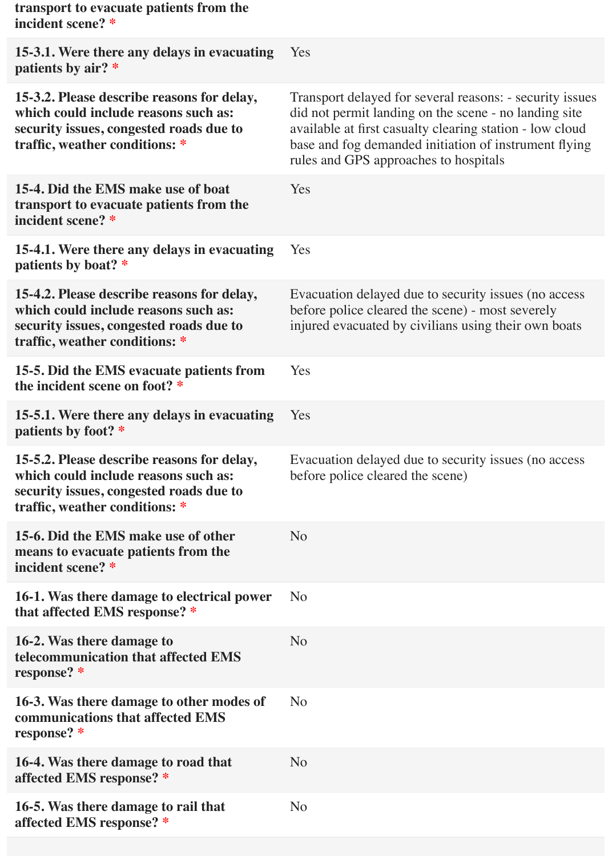| transport to evacuate patients from the<br>incident scene? *                                                                                                    |                                                                                                                                                                                                                                                                                 |
|-----------------------------------------------------------------------------------------------------------------------------------------------------------------|---------------------------------------------------------------------------------------------------------------------------------------------------------------------------------------------------------------------------------------------------------------------------------|
| 15-3.1. Were there any delays in evacuating<br>patients by air? *                                                                                               | Yes                                                                                                                                                                                                                                                                             |
| 15-3.2. Please describe reasons for delay,<br>which could include reasons such as:<br>security issues, congested roads due to<br>traffic, weather conditions: * | Transport delayed for several reasons: - security issues<br>did not permit landing on the scene - no landing site<br>available at first casualty clearing station - low cloud<br>base and fog demanded initiation of instrument flying<br>rules and GPS approaches to hospitals |
| 15-4. Did the EMS make use of boat<br>transport to evacuate patients from the<br>incident scene? *                                                              | Yes                                                                                                                                                                                                                                                                             |
| 15-4.1. Were there any delays in evacuating<br>patients by boat? *                                                                                              | Yes                                                                                                                                                                                                                                                                             |
| 15-4.2. Please describe reasons for delay,<br>which could include reasons such as:<br>security issues, congested roads due to<br>traffic, weather conditions: * | Evacuation delayed due to security issues (no access<br>before police cleared the scene) - most severely<br>injured evacuated by civilians using their own boats                                                                                                                |
| 15-5. Did the EMS evacuate patients from<br>the incident scene on foot? *                                                                                       | Yes                                                                                                                                                                                                                                                                             |
| 15-5.1. Were there any delays in evacuating<br>patients by foot? *                                                                                              | Yes                                                                                                                                                                                                                                                                             |
| 15-5.2. Please describe reasons for delay,<br>which could include reasons such as:<br>security issues, congested roads due to<br>traffic, weather conditions: * | Evacuation delayed due to security issues (no access<br>before police cleared the scene)                                                                                                                                                                                        |
| 15-6. Did the EMS make use of other<br>means to evacuate patients from the<br>incident scene? *                                                                 | N <sub>o</sub>                                                                                                                                                                                                                                                                  |
| 16-1. Was there damage to electrical power<br>that affected EMS response? *                                                                                     | N <sub>o</sub>                                                                                                                                                                                                                                                                  |
| 16-2. Was there damage to<br>telecommunication that affected EMS<br>response? *                                                                                 | N <sub>o</sub>                                                                                                                                                                                                                                                                  |
| 16-3. Was there damage to other modes of<br>communications that affected EMS<br>response? *                                                                     | N <sub>o</sub>                                                                                                                                                                                                                                                                  |
| 16-4. Was there damage to road that<br>affected EMS response? *                                                                                                 | N <sub>o</sub>                                                                                                                                                                                                                                                                  |
| 16-5. Was there damage to rail that<br>affected EMS response? *                                                                                                 | N <sub>o</sub>                                                                                                                                                                                                                                                                  |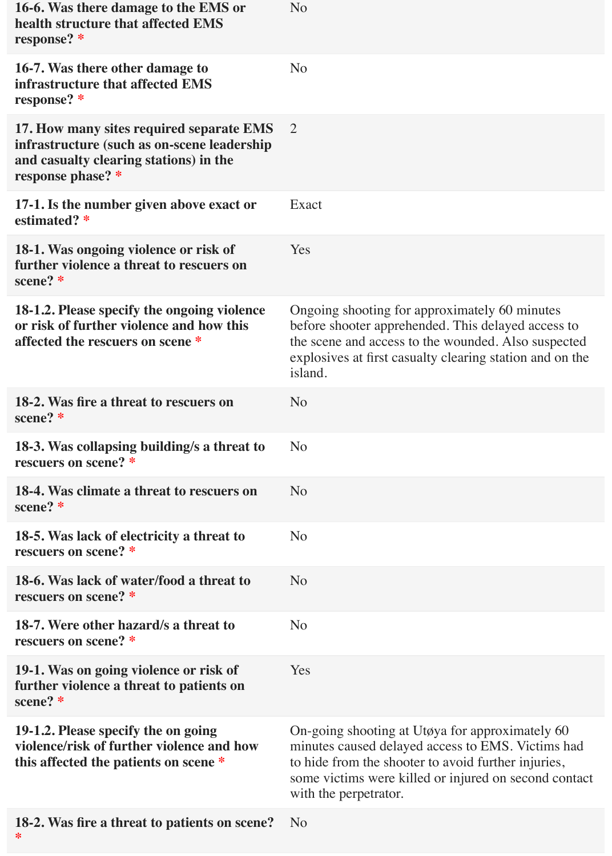| 16-6. Was there damage to the EMS or<br>health structure that affected EMS<br>response? *                                                              | N <sub>o</sub>                                                                                                                                                                                                                                |
|--------------------------------------------------------------------------------------------------------------------------------------------------------|-----------------------------------------------------------------------------------------------------------------------------------------------------------------------------------------------------------------------------------------------|
| 16-7. Was there other damage to<br>infrastructure that affected EMS<br>response? *                                                                     | N <sub>o</sub>                                                                                                                                                                                                                                |
| 17. How many sites required separate EMS<br>infrastructure (such as on-scene leadership<br>and casualty clearing stations) in the<br>response phase? * | 2                                                                                                                                                                                                                                             |
| 17-1. Is the number given above exact or<br>estimated? *                                                                                               | Exact                                                                                                                                                                                                                                         |
| 18-1. Was ongoing violence or risk of<br>further violence a threat to rescuers on<br>scene? *                                                          | Yes                                                                                                                                                                                                                                           |
| 18-1.2. Please specify the ongoing violence<br>or risk of further violence and how this<br>affected the rescuers on scene *                            | Ongoing shooting for approximately 60 minutes<br>before shooter apprehended. This delayed access to<br>the scene and access to the wounded. Also suspected<br>explosives at first casualty clearing station and on the<br>island.             |
| 18-2. Was fire a threat to rescuers on<br>scene? *                                                                                                     | N <sub>o</sub>                                                                                                                                                                                                                                |
| 18-3. Was collapsing building/s a threat to<br>rescuers on scene? *                                                                                    | N <sub>o</sub>                                                                                                                                                                                                                                |
| 18-4. Was climate a threat to rescuers on<br>scene? *                                                                                                  | N <sub>o</sub>                                                                                                                                                                                                                                |
| 18-5. Was lack of electricity a threat to<br>rescuers on scene? *                                                                                      | N <sub>o</sub>                                                                                                                                                                                                                                |
| 18-6. Was lack of water/food a threat to<br>rescuers on scene? *                                                                                       | N <sub>o</sub>                                                                                                                                                                                                                                |
| 18-7. Were other hazard/s a threat to<br>rescuers on scene? *                                                                                          | N <sub>o</sub>                                                                                                                                                                                                                                |
| 19-1. Was on going violence or risk of<br>further violence a threat to patients on<br>scene? *                                                         | Yes                                                                                                                                                                                                                                           |
| 19-1.2. Please specify the on going<br>violence/risk of further violence and how<br>this affected the patients on scene *                              | On-going shooting at Utøya for approximately 60<br>minutes caused delayed access to EMS. Victims had<br>to hide from the shooter to avoid further injuries,<br>some victims were killed or injured on second contact<br>with the perpetrator. |
| 18-2. Was fire a threat to patients on scene?                                                                                                          | N <sub>o</sub>                                                                                                                                                                                                                                |

**\***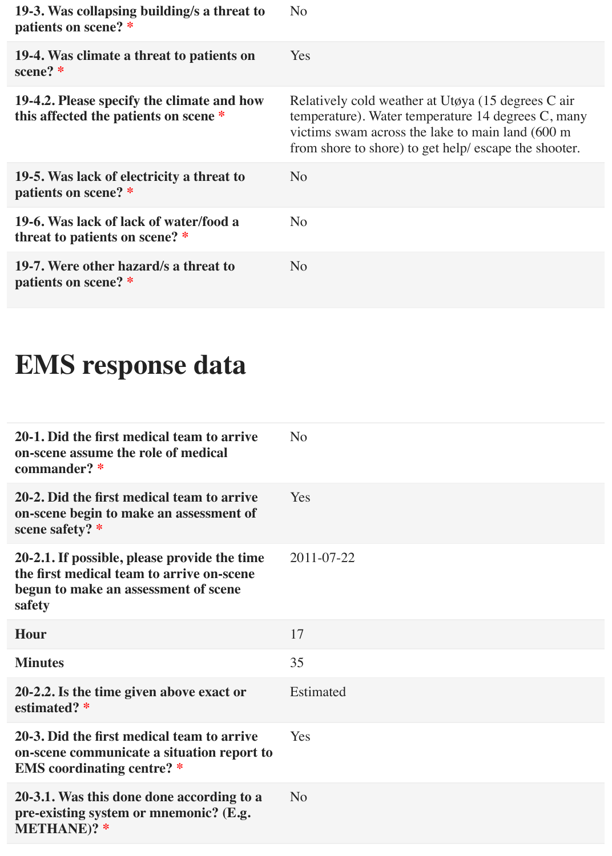| 19-3. Was collapsing building/s a threat to<br>patients on scene? *                 | N <sub>o</sub>                                                                                                                                                                                                        |
|-------------------------------------------------------------------------------------|-----------------------------------------------------------------------------------------------------------------------------------------------------------------------------------------------------------------------|
| 19-4. Was climate a threat to patients on<br>scene? $*$                             | <b>Yes</b>                                                                                                                                                                                                            |
| 19-4.2. Please specify the climate and how<br>this affected the patients on scene * | Relatively cold weather at Utøya (15 degrees C air<br>temperature). Water temperature 14 degrees C, many<br>victims swam across the lake to main land (600 m<br>from shore to shore) to get help/ escape the shooter. |
| 19-5. Was lack of electricity a threat to<br>patients on scene? *                   | N <sub>o</sub>                                                                                                                                                                                                        |
| 19-6. Was lack of lack of water/food a<br>threat to patients on scene? *            | N <sub>o</sub>                                                                                                                                                                                                        |
| 19-7. Were other hazard/s a threat to<br>patients on scene? *                       | N <sub>o</sub>                                                                                                                                                                                                        |

# **EMS response data**

| N <sub>o</sub> |
|----------------|
| Yes            |
| 2011-07-22     |
| 17             |
| 35             |
| Estimated      |
| Yes            |
| N <sub>o</sub> |
|                |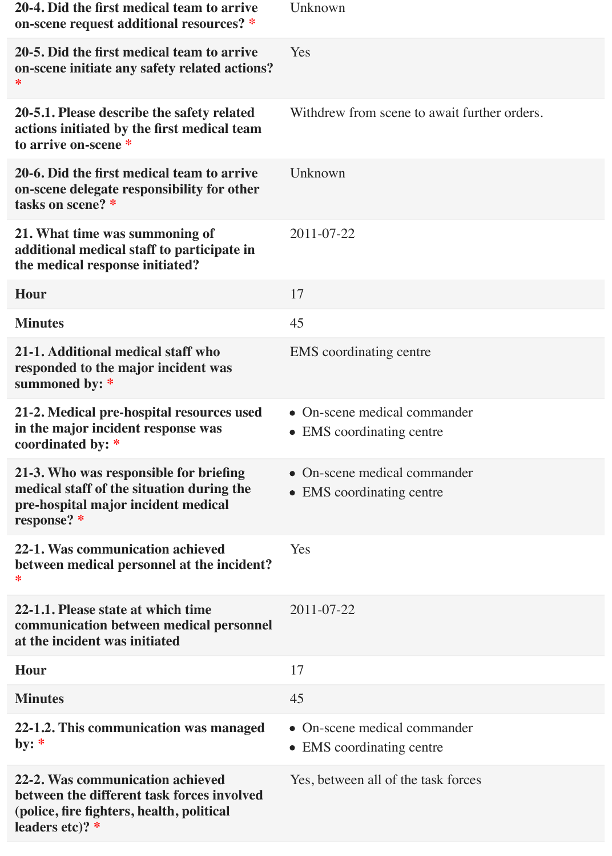| 20-4. Did the first medical team to arrive<br>on-scene request additional resources? *                                                           | Unknown                                                   |
|--------------------------------------------------------------------------------------------------------------------------------------------------|-----------------------------------------------------------|
| 20-5. Did the first medical team to arrive<br>on-scene initiate any safety related actions?<br>⋇                                                 | Yes                                                       |
| 20-5.1. Please describe the safety related<br>actions initiated by the first medical team<br>to arrive on-scene *                                | Withdrew from scene to await further orders.              |
| 20-6. Did the first medical team to arrive<br>on-scene delegate responsibility for other<br>tasks on scene? *                                    | Unknown                                                   |
| 21. What time was summoning of<br>additional medical staff to participate in<br>the medical response initiated?                                  | 2011-07-22                                                |
| <b>Hour</b>                                                                                                                                      | 17                                                        |
| <b>Minutes</b>                                                                                                                                   | 45                                                        |
| 21-1. Additional medical staff who<br>responded to the major incident was<br>summoned by: *                                                      | <b>EMS</b> coordinating centre                            |
| 21-2. Medical pre-hospital resources used<br>in the major incident response was<br>coordinated by: *                                             | • On-scene medical commander<br>• EMS coordinating centre |
| 21-3. Who was responsible for briefing<br>medical staff of the situation during the<br>pre-hospital major incident medical<br>response? *        | • On-scene medical commander<br>• EMS coordinating centre |
| 22-1. Was communication achieved<br>between medical personnel at the incident?<br>∗                                                              | <b>Yes</b>                                                |
| 22-1.1. Please state at which time<br>communication between medical personnel<br>at the incident was initiated                                   | 2011-07-22                                                |
| <b>Hour</b>                                                                                                                                      | 17                                                        |
| <b>Minutes</b>                                                                                                                                   | 45                                                        |
| 22-1.2. This communication was managed<br>by: $*$                                                                                                | • On-scene medical commander<br>• EMS coordinating centre |
| 22-2. Was communication achieved<br>between the different task forces involved<br>(police, fire fighters, health, political<br>leaders etc)? $*$ | Yes, between all of the task forces                       |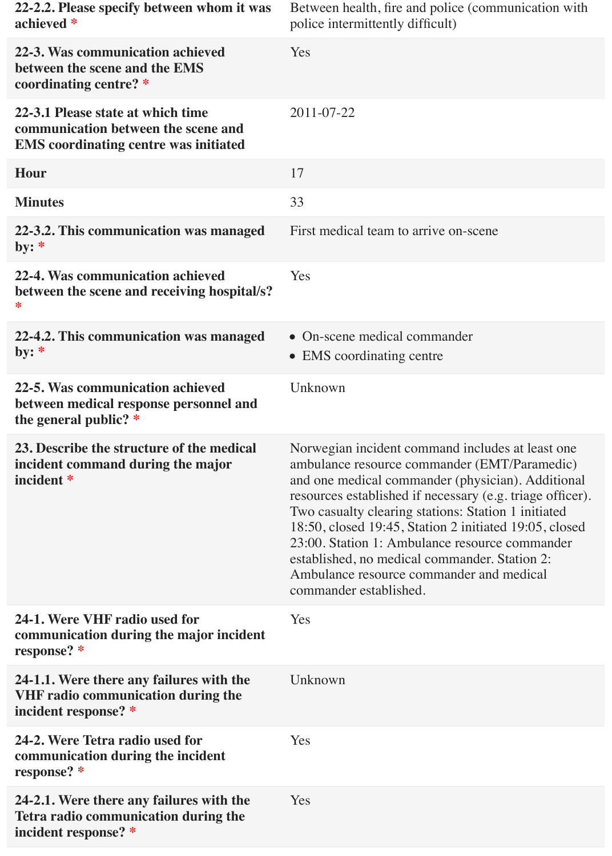| 22-2.2. Please specify between whom it was<br>achieved *                                                                 | Between health, fire and police (communication with<br>police intermittently difficult)                                                                                                                                                                                                                                                                                                                                                                                                                      |
|--------------------------------------------------------------------------------------------------------------------------|--------------------------------------------------------------------------------------------------------------------------------------------------------------------------------------------------------------------------------------------------------------------------------------------------------------------------------------------------------------------------------------------------------------------------------------------------------------------------------------------------------------|
| 22-3. Was communication achieved<br>between the scene and the EMS<br>coordinating centre? *                              | Yes                                                                                                                                                                                                                                                                                                                                                                                                                                                                                                          |
| 22-3.1 Please state at which time<br>communication between the scene and<br><b>EMS</b> coordinating centre was initiated | 2011-07-22                                                                                                                                                                                                                                                                                                                                                                                                                                                                                                   |
| <b>Hour</b>                                                                                                              | 17                                                                                                                                                                                                                                                                                                                                                                                                                                                                                                           |
| <b>Minutes</b>                                                                                                           | 33                                                                                                                                                                                                                                                                                                                                                                                                                                                                                                           |
| 22-3.2. This communication was managed<br>by: $*$                                                                        | First medical team to arrive on-scene                                                                                                                                                                                                                                                                                                                                                                                                                                                                        |
| 22-4. Was communication achieved<br>between the scene and receiving hospital/s?<br>∗                                     | Yes                                                                                                                                                                                                                                                                                                                                                                                                                                                                                                          |
| 22-4.2. This communication was managed<br>by: $*$                                                                        | • On-scene medical commander<br>• EMS coordinating centre                                                                                                                                                                                                                                                                                                                                                                                                                                                    |
| 22-5. Was communication achieved<br>between medical response personnel and<br>the general public? $*$                    | Unknown                                                                                                                                                                                                                                                                                                                                                                                                                                                                                                      |
| 23. Describe the structure of the medical<br>incident command during the major<br>incident *                             | Norwegian incident command includes at least one<br>ambulance resource commander (EMT/Paramedic)<br>and one medical commander (physician). Additional<br>resources established if necessary (e.g. triage officer).<br>Two casualty clearing stations: Station 1 initiated<br>18:50, closed 19:45, Station 2 initiated 19:05, closed<br>23:00. Station 1: Ambulance resource commander<br>established, no medical commander. Station 2:<br>Ambulance resource commander and medical<br>commander established. |
| 24-1. Were VHF radio used for<br>communication during the major incident<br>response? *                                  | Yes                                                                                                                                                                                                                                                                                                                                                                                                                                                                                                          |
| 24-1.1. Were there any failures with the<br><b>VHF radio communication during the</b><br>incident response? *            | Unknown                                                                                                                                                                                                                                                                                                                                                                                                                                                                                                      |
| 24-2. Were Tetra radio used for<br>communication during the incident<br>response? *                                      | Yes                                                                                                                                                                                                                                                                                                                                                                                                                                                                                                          |
| 24-2.1. Were there any failures with the<br>Tetra radio communication during the<br>incident response? *                 | Yes                                                                                                                                                                                                                                                                                                                                                                                                                                                                                                          |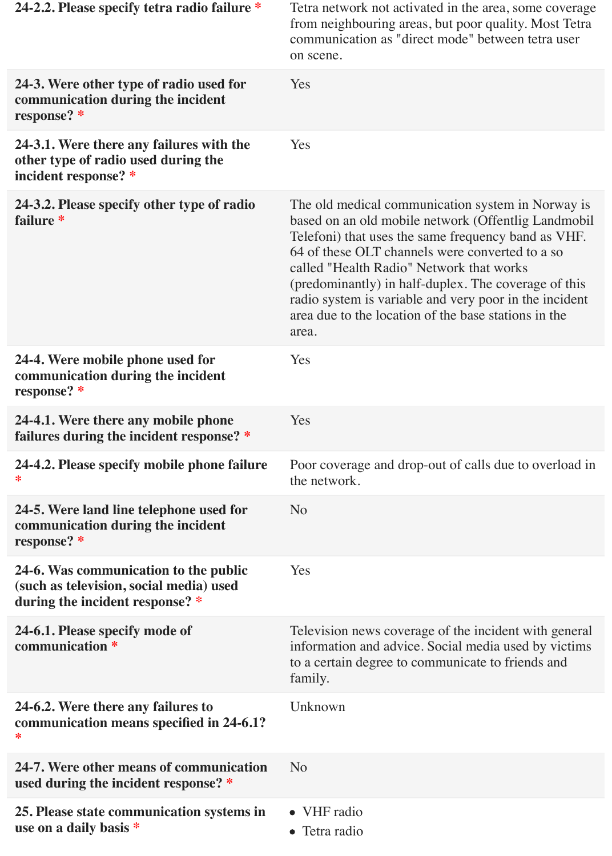| 24-2.2. Please specify tetra radio failure *                                                                        | Tetra network not activated in the area, some coverage<br>from neighbouring areas, but poor quality. Most Tetra<br>communication as "direct mode" between tetra user<br>on scene.                                                                                                                                                                                                                                                                 |
|---------------------------------------------------------------------------------------------------------------------|---------------------------------------------------------------------------------------------------------------------------------------------------------------------------------------------------------------------------------------------------------------------------------------------------------------------------------------------------------------------------------------------------------------------------------------------------|
| 24-3. Were other type of radio used for<br>communication during the incident<br>response? *                         | Yes                                                                                                                                                                                                                                                                                                                                                                                                                                               |
| 24-3.1. Were there any failures with the<br>other type of radio used during the<br>incident response? *             | Yes                                                                                                                                                                                                                                                                                                                                                                                                                                               |
| 24-3.2. Please specify other type of radio<br>failure *                                                             | The old medical communication system in Norway is<br>based on an old mobile network (Offentlig Landmobil<br>Telefoni) that uses the same frequency band as VHF.<br>64 of these OLT channels were converted to a so<br>called "Health Radio" Network that works<br>(predominantly) in half-duplex. The coverage of this<br>radio system is variable and very poor in the incident<br>area due to the location of the base stations in the<br>area. |
| 24-4. Were mobile phone used for<br>communication during the incident<br>response? *                                | Yes                                                                                                                                                                                                                                                                                                                                                                                                                                               |
| 24-4.1. Were there any mobile phone<br>failures during the incident response? *                                     | Yes                                                                                                                                                                                                                                                                                                                                                                                                                                               |
| 24-4.2. Please specify mobile phone failure<br>∗                                                                    | Poor coverage and drop-out of calls due to overload in<br>the network.                                                                                                                                                                                                                                                                                                                                                                            |
| 24-5. Were land line telephone used for<br>communication during the incident<br>response? *                         | N <sub>o</sub>                                                                                                                                                                                                                                                                                                                                                                                                                                    |
| 24-6. Was communication to the public<br>(such as television, social media) used<br>during the incident response? * | Yes                                                                                                                                                                                                                                                                                                                                                                                                                                               |
| 24-6.1. Please specify mode of<br>communication *                                                                   | Television news coverage of the incident with general<br>information and advice. Social media used by victims<br>to a certain degree to communicate to friends and<br>family.                                                                                                                                                                                                                                                                     |
| 24-6.2. Were there any failures to<br>communication means specified in 24-6.1?<br>∗                                 | Unknown                                                                                                                                                                                                                                                                                                                                                                                                                                           |
| 24-7. Were other means of communication<br>used during the incident response? *                                     | N <sub>o</sub>                                                                                                                                                                                                                                                                                                                                                                                                                                    |
| 25. Please state communication systems in<br>use on a daily basis *                                                 | VHF radio<br>$\bullet$<br>• Tetra radio                                                                                                                                                                                                                                                                                                                                                                                                           |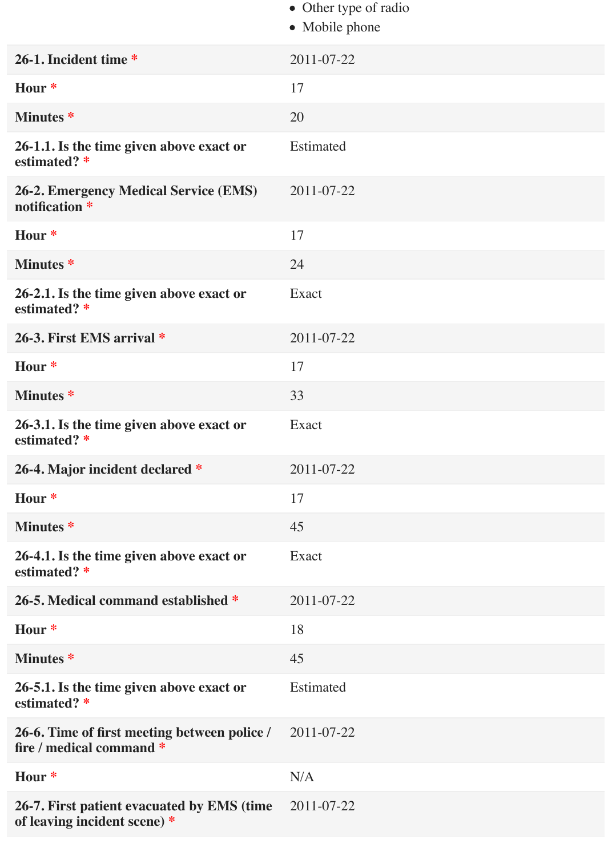|                                                                            | • Other type of radio<br>• Mobile phone |
|----------------------------------------------------------------------------|-----------------------------------------|
| 26-1. Incident time *                                                      | 2011-07-22                              |
| Hour *                                                                     | 17                                      |
| <b>Minutes</b> *                                                           | 20                                      |
| 26-1.1. Is the time given above exact or<br>estimated? *                   | Estimated                               |
| <b>26-2. Emergency Medical Service (EMS)</b><br>notification *             | 2011-07-22                              |
| Hour *                                                                     | 17                                      |
| <b>Minutes*</b>                                                            | 24                                      |
| 26-2.1. Is the time given above exact or<br>estimated? *                   | Exact                                   |
| 26-3. First EMS arrival *                                                  | 2011-07-22                              |
| Hour *                                                                     | 17                                      |
| <b>Minutes</b> *                                                           | 33                                      |
| 26-3.1. Is the time given above exact or<br>estimated? *                   | Exact                                   |
| 26-4. Major incident declared *                                            | 2011-07-22                              |
| Hour <sup>*</sup>                                                          | 17                                      |
| <b>Minutes*</b>                                                            | 45                                      |
| 26-4.1. Is the time given above exact or<br>estimated? *                   | Exact                                   |
| 26-5. Medical command established *                                        | 2011-07-22                              |
| Hour *                                                                     | 18                                      |
| <b>Minutes*</b>                                                            | 45                                      |
| 26-5.1. Is the time given above exact or<br>estimated? *                   | Estimated                               |
| 26-6. Time of first meeting between police /<br>fire / medical command *   | 2011-07-22                              |
| Hour *                                                                     | N/A                                     |
| 26-7. First patient evacuated by EMS (time<br>of leaving incident scene) * | 2011-07-22                              |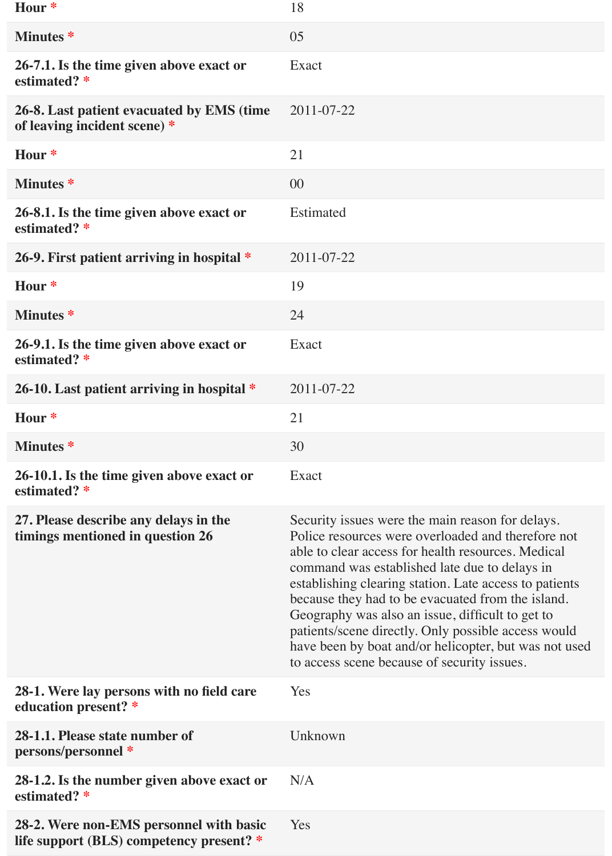| Hour <sup>*</sup>                                                                   | 18                                                                                                                                                                                                                                                                                                                                                                                                                                                                                                                                              |
|-------------------------------------------------------------------------------------|-------------------------------------------------------------------------------------------------------------------------------------------------------------------------------------------------------------------------------------------------------------------------------------------------------------------------------------------------------------------------------------------------------------------------------------------------------------------------------------------------------------------------------------------------|
| <b>Minutes</b> *                                                                    | 05                                                                                                                                                                                                                                                                                                                                                                                                                                                                                                                                              |
| 26-7.1. Is the time given above exact or<br>estimated? *                            | Exact                                                                                                                                                                                                                                                                                                                                                                                                                                                                                                                                           |
| 26-8. Last patient evacuated by EMS (time<br>of leaving incident scene) *           | 2011-07-22                                                                                                                                                                                                                                                                                                                                                                                                                                                                                                                                      |
| Hour *                                                                              | 21                                                                                                                                                                                                                                                                                                                                                                                                                                                                                                                                              |
| <b>Minutes</b> *                                                                    | 00                                                                                                                                                                                                                                                                                                                                                                                                                                                                                                                                              |
| 26-8.1. Is the time given above exact or<br>estimated? *                            | Estimated                                                                                                                                                                                                                                                                                                                                                                                                                                                                                                                                       |
| 26-9. First patient arriving in hospital *                                          | 2011-07-22                                                                                                                                                                                                                                                                                                                                                                                                                                                                                                                                      |
| Hour *                                                                              | 19                                                                                                                                                                                                                                                                                                                                                                                                                                                                                                                                              |
| <b>Minutes</b> *                                                                    | 24                                                                                                                                                                                                                                                                                                                                                                                                                                                                                                                                              |
| 26-9.1. Is the time given above exact or<br>estimated? *                            | Exact                                                                                                                                                                                                                                                                                                                                                                                                                                                                                                                                           |
| 26-10. Last patient arriving in hospital *                                          | 2011-07-22                                                                                                                                                                                                                                                                                                                                                                                                                                                                                                                                      |
| Hour *                                                                              | 21                                                                                                                                                                                                                                                                                                                                                                                                                                                                                                                                              |
| <b>Minutes</b> *                                                                    | 30                                                                                                                                                                                                                                                                                                                                                                                                                                                                                                                                              |
| 26-10.1. Is the time given above exact or<br>estimated? *                           | Exact                                                                                                                                                                                                                                                                                                                                                                                                                                                                                                                                           |
| 27. Please describe any delays in the<br>timings mentioned in question 26           | Security issues were the main reason for delays.<br>Police resources were overloaded and therefore not<br>able to clear access for health resources. Medical<br>command was established late due to delays in<br>establishing clearing station. Late access to patients<br>because they had to be evacuated from the island.<br>Geography was also an issue, difficult to get to<br>patients/scene directly. Only possible access would<br>have been by boat and/or helicopter, but was not used<br>to access scene because of security issues. |
| 28-1. Were lay persons with no field care<br>education present? *                   | Yes                                                                                                                                                                                                                                                                                                                                                                                                                                                                                                                                             |
| 28-1.1. Please state number of<br>persons/personnel *                               | Unknown                                                                                                                                                                                                                                                                                                                                                                                                                                                                                                                                         |
| 28-1.2. Is the number given above exact or<br>estimated? *                          | N/A                                                                                                                                                                                                                                                                                                                                                                                                                                                                                                                                             |
| 28-2. Were non-EMS personnel with basic<br>life support (BLS) competency present? * | Yes                                                                                                                                                                                                                                                                                                                                                                                                                                                                                                                                             |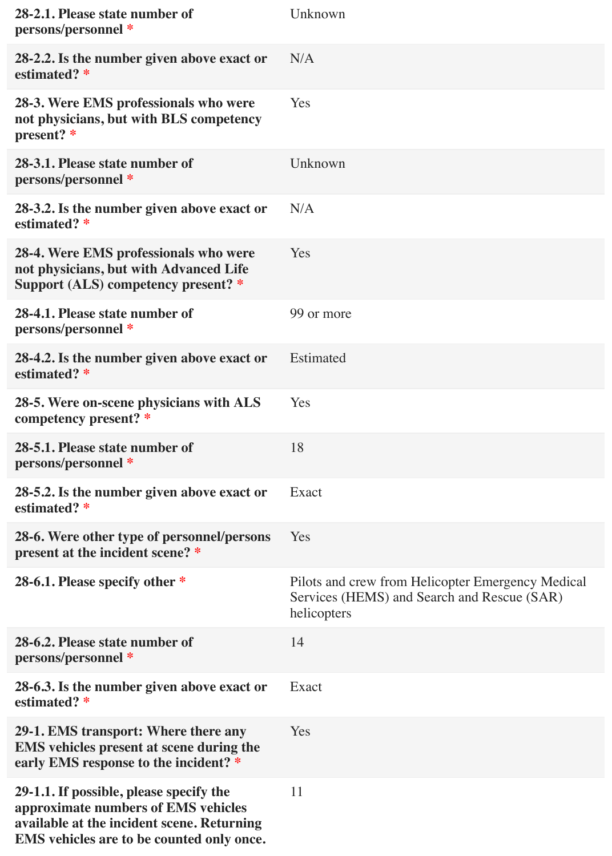| 28-2.1. Please state number of<br>persons/personnel *                                                                                                                     | Unknown                                                                                                         |
|---------------------------------------------------------------------------------------------------------------------------------------------------------------------------|-----------------------------------------------------------------------------------------------------------------|
| 28-2.2. Is the number given above exact or<br>estimated? *                                                                                                                | N/A                                                                                                             |
| 28-3. Were EMS professionals who were<br>not physicians, but with BLS competency<br>present? *                                                                            | Yes                                                                                                             |
| 28-3.1. Please state number of<br>persons/personnel *                                                                                                                     | Unknown                                                                                                         |
| 28-3.2. Is the number given above exact or<br>estimated? *                                                                                                                | N/A                                                                                                             |
| 28-4. Were EMS professionals who were<br>not physicians, but with Advanced Life<br>Support (ALS) competency present? *                                                    | Yes                                                                                                             |
| 28-4.1. Please state number of<br>persons/personnel *                                                                                                                     | 99 or more                                                                                                      |
| 28-4.2. Is the number given above exact or<br>estimated? *                                                                                                                | Estimated                                                                                                       |
| 28-5. Were on-scene physicians with ALS<br>competency present? *                                                                                                          | Yes                                                                                                             |
| 28-5.1. Please state number of<br>persons/personnel *                                                                                                                     | 18                                                                                                              |
| 28-5.2. Is the number given above exact or<br>estimated? *                                                                                                                | Exact                                                                                                           |
| 28-6. Were other type of personnel/persons<br>present at the incident scene? *                                                                                            | Yes                                                                                                             |
| 28-6.1. Please specify other *                                                                                                                                            | Pilots and crew from Helicopter Emergency Medical<br>Services (HEMS) and Search and Rescue (SAR)<br>helicopters |
| 28-6.2. Please state number of<br>persons/personnel *                                                                                                                     | 14                                                                                                              |
| 28-6.3. Is the number given above exact or<br>estimated? *                                                                                                                | Exact                                                                                                           |
| 29-1. EMS transport: Where there any<br>EMS vehicles present at scene during the<br>early EMS response to the incident? *                                                 | Yes                                                                                                             |
| 29-1.1. If possible, please specify the<br>approximate numbers of EMS vehicles<br>available at the incident scene. Returning<br>EMS vehicles are to be counted only once. | 11                                                                                                              |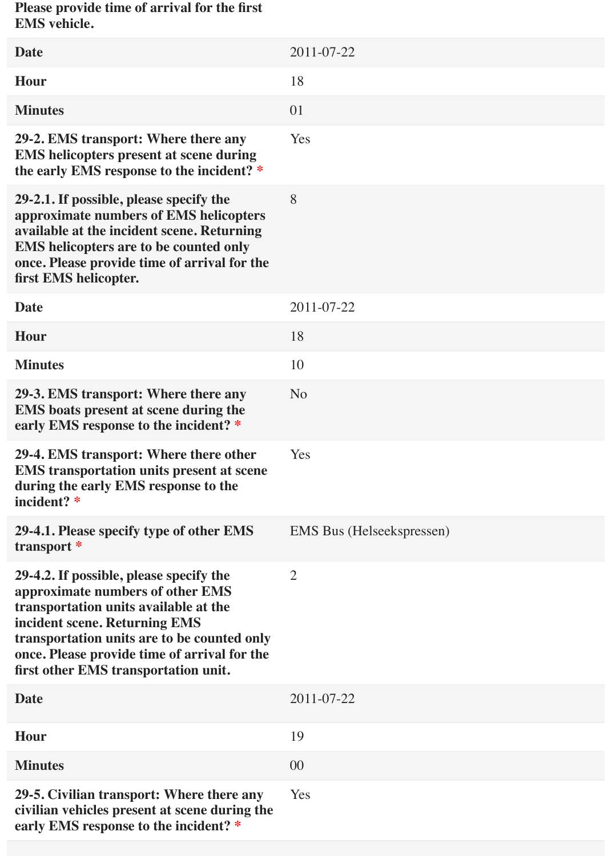**Please provide time of arrival for the first EMS vehicle.**

| <b>Date</b>                                                                                                                                                                                                                                                                                  | 2011-07-22                       |
|----------------------------------------------------------------------------------------------------------------------------------------------------------------------------------------------------------------------------------------------------------------------------------------------|----------------------------------|
| Hour                                                                                                                                                                                                                                                                                         | 18                               |
| <b>Minutes</b>                                                                                                                                                                                                                                                                               | 01                               |
| 29-2. EMS transport: Where there any<br><b>EMS</b> helicopters present at scene during<br>the early EMS response to the incident? *                                                                                                                                                          | Yes                              |
| 29-2.1. If possible, please specify the<br>approximate numbers of EMS helicopters<br>available at the incident scene. Returning<br><b>EMS</b> helicopters are to be counted only<br>once. Please provide time of arrival for the<br>first EMS helicopter.                                    | 8                                |
| <b>Date</b>                                                                                                                                                                                                                                                                                  | 2011-07-22                       |
| Hour                                                                                                                                                                                                                                                                                         | 18                               |
| <b>Minutes</b>                                                                                                                                                                                                                                                                               | 10                               |
| 29-3. EMS transport: Where there any<br><b>EMS</b> boats present at scene during the<br>early EMS response to the incident? *                                                                                                                                                                | N <sub>o</sub>                   |
| 29-4. EMS transport: Where there other<br><b>EMS</b> transportation units present at scene<br>during the early EMS response to the<br>incident? *                                                                                                                                            | Yes                              |
| 29-4.1. Please specify type of other EMS<br>transport *                                                                                                                                                                                                                                      | <b>EMS</b> Bus (Helseekspressen) |
| 29-4.2. If possible, please specify the<br>approximate numbers of other EMS<br>transportation units available at the<br>incident scene. Returning EMS<br>transportation units are to be counted only<br>once. Please provide time of arrival for the<br>first other EMS transportation unit. | $\overline{2}$                   |
| <b>Date</b>                                                                                                                                                                                                                                                                                  | 2011-07-22                       |
| Hour                                                                                                                                                                                                                                                                                         | 19                               |
| <b>Minutes</b>                                                                                                                                                                                                                                                                               | 00                               |
| 29-5. Civilian transport: Where there any<br>civilian vehicles present at scene during the<br>early EMS response to the incident? *                                                                                                                                                          | Yes                              |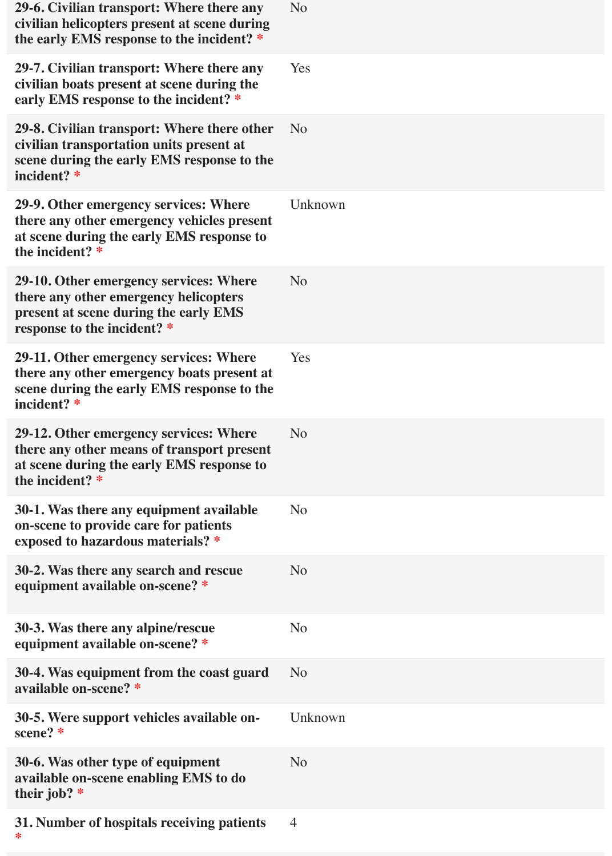| 29-6. Civilian transport: Where there any<br>civilian helicopters present at scene during<br>the early EMS response to the incident? *                  | N <sub>o</sub> |
|---------------------------------------------------------------------------------------------------------------------------------------------------------|----------------|
| 29-7. Civilian transport: Where there any<br>civilian boats present at scene during the<br>early EMS response to the incident? *                        | Yes            |
| 29-8. Civilian transport: Where there other<br>civilian transportation units present at<br>scene during the early EMS response to the<br>incident? *    | N <sub>o</sub> |
| 29-9. Other emergency services: Where<br>there any other emergency vehicles present<br>at scene during the early EMS response to<br>the incident? *     | Unknown        |
| 29-10. Other emergency services: Where<br>there any other emergency helicopters<br>present at scene during the early EMS<br>response to the incident? * | N <sub>o</sub> |
| 29-11. Other emergency services: Where<br>there any other emergency boats present at<br>scene during the early EMS response to the<br>incident? *       | Yes            |
| 29-12. Other emergency services: Where<br>there any other means of transport present<br>at scene during the early EMS response to<br>the incident? *    | N <sub>o</sub> |
| 30-1. Was there any equipment available<br>on-scene to provide care for patients<br>exposed to hazardous materials? *                                   | N <sub>o</sub> |
| 30-2. Was there any search and rescue<br>equipment available on-scene? *                                                                                | N <sub>o</sub> |
| 30-3. Was there any alpine/rescue<br>equipment available on-scene? *                                                                                    | N <sub>o</sub> |
| 30-4. Was equipment from the coast guard<br>available on-scene? *                                                                                       | N <sub>o</sub> |
| 30-5. Were support vehicles available on-<br>scene? *                                                                                                   | Unknown        |
| 30-6. Was other type of equipment<br>available on-scene enabling EMS to do<br>their job? $*$                                                            | N <sub>o</sub> |
| 31. Number of hospitals receiving patients<br>∗                                                                                                         | $\overline{4}$ |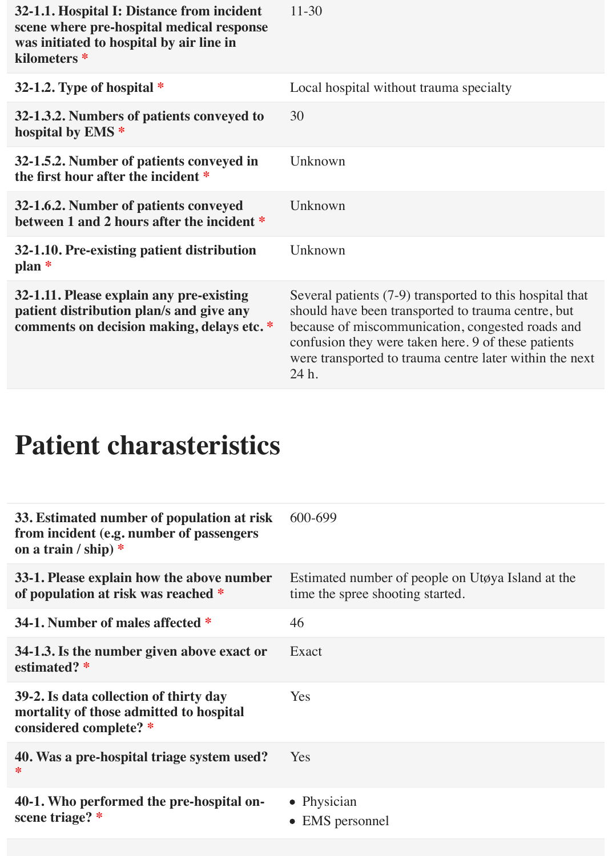| 32-1.1. Hospital I: Distance from incident<br>scene where pre-hospital medical response<br>was initiated to hospital by air line in<br>kilometers * | $11 - 30$                                                                                                                                                                                                                                                                                     |
|-----------------------------------------------------------------------------------------------------------------------------------------------------|-----------------------------------------------------------------------------------------------------------------------------------------------------------------------------------------------------------------------------------------------------------------------------------------------|
| 32-1.2. Type of hospital $*$                                                                                                                        | Local hospital without trauma specialty                                                                                                                                                                                                                                                       |
| 32-1.3.2. Numbers of patients conveyed to<br>hospital by EMS <sup>*</sup>                                                                           | 30                                                                                                                                                                                                                                                                                            |
| 32-1.5.2. Number of patients conveyed in<br>the first hour after the incident *                                                                     | Unknown                                                                                                                                                                                                                                                                                       |
| 32-1.6.2. Number of patients conveyed<br>between 1 and 2 hours after the incident *                                                                 | Unknown                                                                                                                                                                                                                                                                                       |
| 32-1.10. Pre-existing patient distribution<br>$plan *$                                                                                              | Unknown                                                                                                                                                                                                                                                                                       |
| 32-1.11. Please explain any pre-existing<br>patient distribution plan/s and give any<br>comments on decision making, delays etc.*                   | Several patients (7-9) transported to this hospital that<br>should have been transported to trauma centre, but<br>because of miscommunication, congested roads and<br>confusion they were taken here. 9 of these patients<br>were transported to trauma centre later within the next<br>24 h. |

# **Patient charasteristics**

| 33. Estimated number of population at risk<br>from incident (e.g. number of passengers<br>on a train / ship) $*$ | 600-699                                                                               |
|------------------------------------------------------------------------------------------------------------------|---------------------------------------------------------------------------------------|
| 33-1. Please explain how the above number<br>of population at risk was reached *                                 | Estimated number of people on Utøya Island at the<br>time the spree shooting started. |
| 34-1. Number of males affected *                                                                                 | 46                                                                                    |
| 34-1.3. Is the number given above exact or<br>estimated? *                                                       | Exact                                                                                 |
| 39-2. Is data collection of thirty day<br>mortality of those admitted to hospital<br>considered complete? *      | <b>Yes</b>                                                                            |
| 40. Was a pre-hospital triage system used?<br>∗                                                                  | <b>Yes</b>                                                                            |
| 40-1. Who performed the pre-hospital on-<br>scene triage? *                                                      | • Physician<br><b>EMS</b> personnel<br>$\bullet$                                      |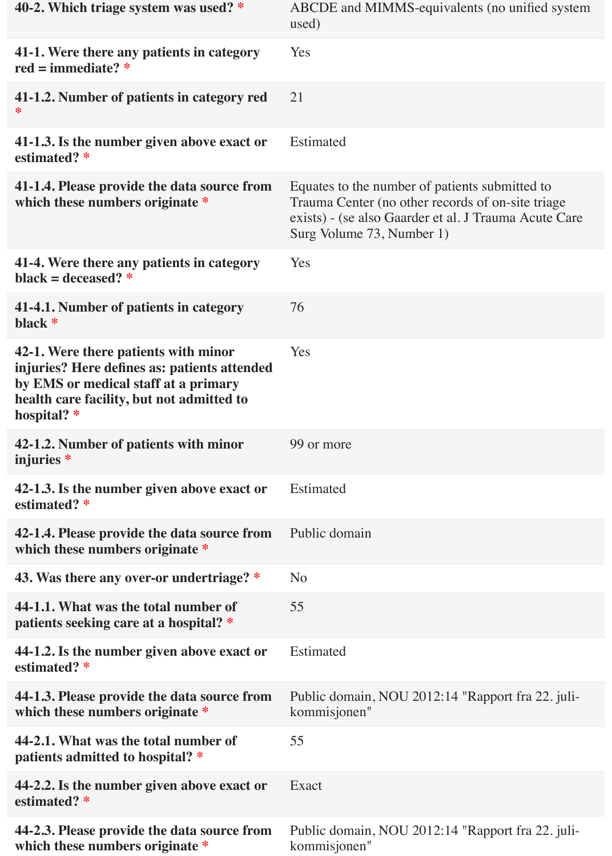| 40-2. Which triage system was used? *                                                                                                                                                      | ABCDE and MIMMS-equivalents (no unified system<br>used)                                                                                                                                   |
|--------------------------------------------------------------------------------------------------------------------------------------------------------------------------------------------|-------------------------------------------------------------------------------------------------------------------------------------------------------------------------------------------|
| 41-1. Were there any patients in category<br>red = immediate? $*$                                                                                                                          | Yes                                                                                                                                                                                       |
| 41-1.2. Number of patients in category red<br>∗                                                                                                                                            | 21                                                                                                                                                                                        |
| 41-1.3. Is the number given above exact or<br>estimated? *                                                                                                                                 | Estimated                                                                                                                                                                                 |
| 41-1.4. Please provide the data source from<br>which these numbers originate *                                                                                                             | Equates to the number of patients submitted to<br>Trauma Center (no other records of on-site triage<br>exists) - (se also Gaarder et al. J Trauma Acute Care<br>Surg Volume 73, Number 1) |
| 41-4. Were there any patients in category<br>black = deceased? $*$                                                                                                                         | Yes                                                                                                                                                                                       |
| 41-4.1. Number of patients in category<br>black *                                                                                                                                          | 76                                                                                                                                                                                        |
| 42-1. Were there patients with minor<br>injuries? Here defines as: patients attended<br>by EMS or medical staff at a primary<br>health care facility, but not admitted to<br>hospital? $*$ | Yes                                                                                                                                                                                       |
| 42-1.2. Number of patients with minor<br>injuries *                                                                                                                                        | 99 or more                                                                                                                                                                                |
| 42-1.3. Is the number given above exact or<br>estimated? *                                                                                                                                 | Estimated                                                                                                                                                                                 |
| 42-1.4. Please provide the data source from<br>which these numbers originate *                                                                                                             | Public domain                                                                                                                                                                             |
| 43. Was there any over-or undertriage? *                                                                                                                                                   | N <sub>o</sub>                                                                                                                                                                            |
| 44-1.1. What was the total number of<br>patients seeking care at a hospital? *                                                                                                             | 55                                                                                                                                                                                        |
| 44-1.2. Is the number given above exact or<br>estimated? *                                                                                                                                 | Estimated                                                                                                                                                                                 |
| 44-1.3. Please provide the data source from<br>which these numbers originate *                                                                                                             | Public domain, NOU 2012:14 "Rapport fra 22. juli-<br>kommisjonen"                                                                                                                         |
| 44-2.1. What was the total number of<br>patients admitted to hospital? *                                                                                                                   | 55                                                                                                                                                                                        |
| 44-2.2. Is the number given above exact or<br>estimated? *                                                                                                                                 | Exact                                                                                                                                                                                     |
| 44-2.3. Please provide the data source from<br>which these numbers originate *                                                                                                             | Public domain, NOU 2012:14 "Rapport fra 22. juli-<br>kommisjonen"                                                                                                                         |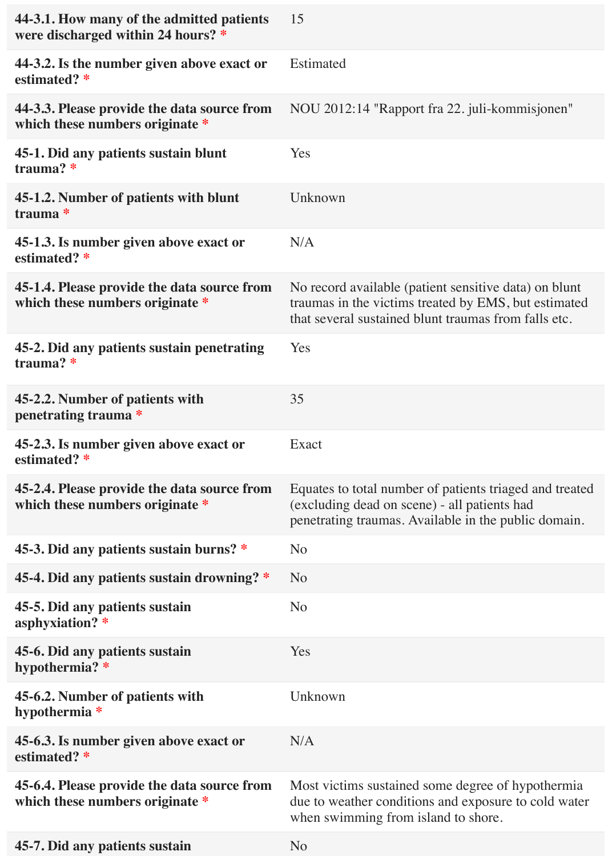| 44-3.1. How many of the admitted patients<br>were discharged within 24 hours? * | 15                                                                                                                                                                    |
|---------------------------------------------------------------------------------|-----------------------------------------------------------------------------------------------------------------------------------------------------------------------|
| 44-3.2. Is the number given above exact or<br>estimated? *                      | Estimated                                                                                                                                                             |
| 44-3.3. Please provide the data source from<br>which these numbers originate *  | NOU 2012:14 "Rapport fra 22. juli-kommisjonen"                                                                                                                        |
| 45-1. Did any patients sustain blunt<br>trauma?*                                | Yes                                                                                                                                                                   |
| 45-1.2. Number of patients with blunt<br>trauma *                               | Unknown                                                                                                                                                               |
| 45-1.3. Is number given above exact or<br>estimated? *                          | N/A                                                                                                                                                                   |
| 45-1.4. Please provide the data source from<br>which these numbers originate *  | No record available (patient sensitive data) on blunt<br>traumas in the victims treated by EMS, but estimated<br>that several sustained blunt traumas from falls etc. |
| 45-2. Did any patients sustain penetrating<br>trauma?*                          | Yes                                                                                                                                                                   |
| 45-2.2. Number of patients with<br>penetrating trauma *                         | 35                                                                                                                                                                    |
| 45-2.3. Is number given above exact or<br>estimated? *                          | Exact                                                                                                                                                                 |
| 45-2.4. Please provide the data source from<br>which these numbers originate *  | Equates to total number of patients triaged and treated<br>(excluding dead on scene) - all patients had<br>penetrating traumas. Available in the public domain.       |
| 45-3. Did any patients sustain burns? *                                         | N <sub>o</sub>                                                                                                                                                        |
| 45-4. Did any patients sustain drowning? *                                      | N <sub>o</sub>                                                                                                                                                        |
| 45-5. Did any patients sustain<br>asphyxiation? *                               | N <sub>o</sub>                                                                                                                                                        |
| 45-6. Did any patients sustain<br>hypothermia? *                                | Yes                                                                                                                                                                   |
| 45-6.2. Number of patients with<br>hypothermia *                                | Unknown                                                                                                                                                               |
| 45-6.3. Is number given above exact or<br>estimated? *                          | N/A                                                                                                                                                                   |
| 45-6.4. Please provide the data source from<br>which these numbers originate *  | Most victims sustained some degree of hypothermia<br>due to weather conditions and exposure to cold water<br>when swimming from island to shore.                      |
| 45-7. Did any patients sustain                                                  | N <sub>o</sub>                                                                                                                                                        |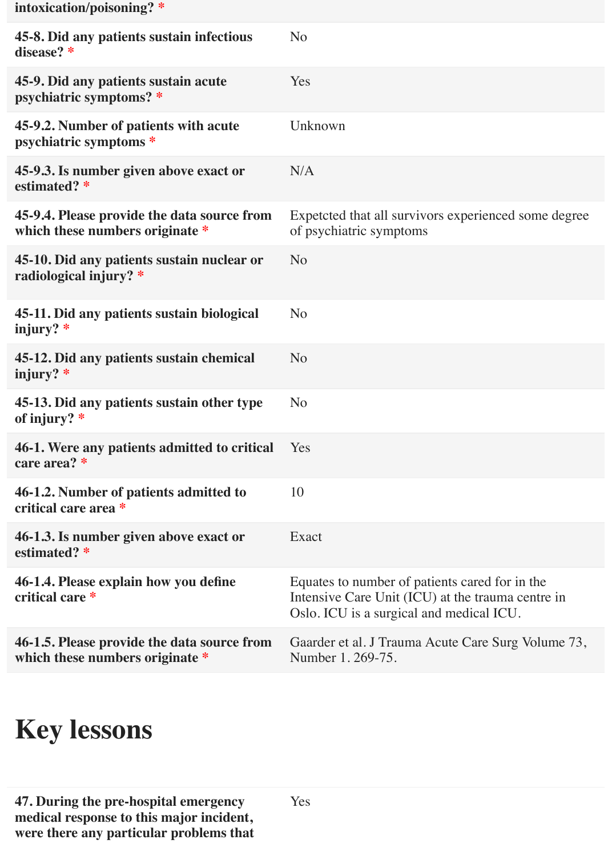| intoxication/poisoning? *                                                      |                                                                                                                                                 |
|--------------------------------------------------------------------------------|-------------------------------------------------------------------------------------------------------------------------------------------------|
| 45-8. Did any patients sustain infectious<br>disease? *                        | N <sub>o</sub>                                                                                                                                  |
| 45-9. Did any patients sustain acute<br>psychiatric symptoms? *                | Yes                                                                                                                                             |
| 45-9.2. Number of patients with acute<br>psychiatric symptoms *                | Unknown                                                                                                                                         |
| 45-9.3. Is number given above exact or<br>estimated? *                         | N/A                                                                                                                                             |
| 45-9.4. Please provide the data source from<br>which these numbers originate * | Expetcted that all survivors experienced some degree<br>of psychiatric symptoms                                                                 |
| 45-10. Did any patients sustain nuclear or<br>radiological injury? *           | N <sub>o</sub>                                                                                                                                  |
| 45-11. Did any patients sustain biological<br>injury? $*$                      | N <sub>o</sub>                                                                                                                                  |
| 45-12. Did any patients sustain chemical<br>injury? $*$                        | N <sub>o</sub>                                                                                                                                  |
| 45-13. Did any patients sustain other type<br>of injury? *                     | N <sub>o</sub>                                                                                                                                  |
| 46-1. Were any patients admitted to critical<br>care area? *                   | Yes                                                                                                                                             |
| 46-1.2. Number of patients admitted to<br>critical care area *                 | 10                                                                                                                                              |
| 46-1.3. Is number given above exact or<br>estimated? *                         | Exact                                                                                                                                           |
| 46-1.4. Please explain how you define<br>critical care *                       | Equates to number of patients cared for in the<br>Intensive Care Unit (ICU) at the trauma centre in<br>Oslo. ICU is a surgical and medical ICU. |
| 46-1.5. Please provide the data source from<br>which these numbers originate * | Gaarder et al. J Trauma Acute Care Surg Volume 73,<br>Number 1.269-75.                                                                          |

# **Key lessons**